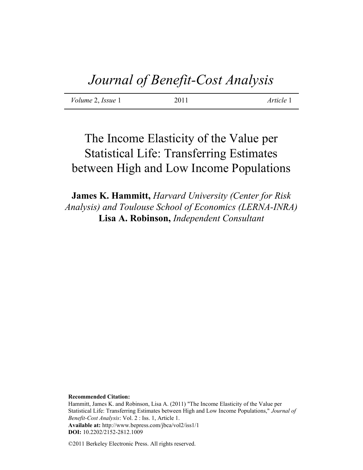*Volume* 2, *Issue* 1 2011 *Article* 1

# The Income Elasticity of the Value per Statistical Life: Transferring Estimates between High and Low Income Populations

**James K. Hammitt,** *Harvard University (Center for Risk Analysis) and Toulouse School of Economics (LERNA-INRA)* **Lisa A. Robinson,** *Independent Consultant*

**Recommended Citation:**

Hammitt, James K. and Robinson, Lisa A. (2011) "The Income Elasticity of the Value per Statistical Life: Transferring Estimates between High and Low Income Populations," *Journal of Benefit-Cost Analysis*: Vol. 2 : Iss. 1, Article 1. **Available at:** http://www.bepress.com/jbca/vol2/iss1/1 **DOI:** 10.2202/2152-2812.1009

©2011 Berkeley Electronic Press. All rights reserved.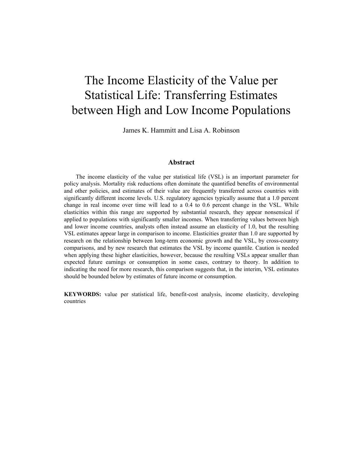# The Income Elasticity of the Value per Statistical Life: Transferring Estimates between High and Low Income Populations

James K. Hammitt and Lisa A. Robinson

#### **Abstract**

The income elasticity of the value per statistical life (VSL) is an important parameter for policy analysis. Mortality risk reductions often dominate the quantified benefits of environmental and other policies, and estimates of their value are frequently transferred across countries with significantly different income levels. U.S. regulatory agencies typically assume that a 1.0 percent change in real income over time will lead to a 0.4 to 0.6 percent change in the VSL. While elasticities within this range are supported by substantial research, they appear nonsensical if applied to populations with significantly smaller incomes. When transferring values between high and lower income countries, analysts often instead assume an elasticity of 1.0, but the resulting VSL estimates appear large in comparison to income. Elasticities greater than 1.0 are supported by research on the relationship between long-term economic growth and the VSL, by cross-country comparisons, and by new research that estimates the VSL by income quantile. Caution is needed when applying these higher elasticities, however, because the resulting VSLs appear smaller than expected future earnings or consumption in some cases, contrary to theory. In addition to indicating the need for more research, this comparison suggests that, in the interim, VSL estimates should be bounded below by estimates of future income or consumption.

**KEYWORDS:** value per statistical life, benefit-cost analysis, income elasticity, developing countries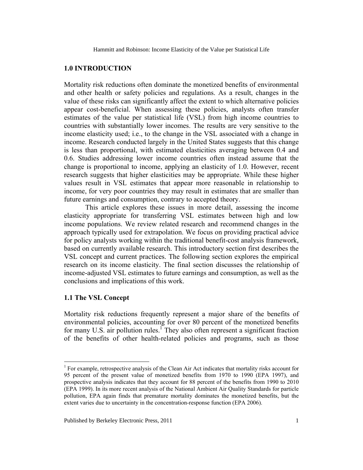### **1.0 INTRODUCTION**

Mortality risk reductions often dominate the monetized benefits of environmental and other health or safety policies and regulations. As a result, changes in the value of these risks can significantly affect the extent to which alternative policies appear cost-beneficial. When assessing these policies, analysts often transfer estimates of the value per statistical life (VSL) from high income countries to countries with substantially lower incomes. The results are very sensitive to the income elasticity used; i.e., to the change in the VSL associated with a change in income. Research conducted largely in the United States suggests that this change is less than proportional, with estimated elasticities averaging between 0.4 and 0.6. Studies addressing lower income countries often instead assume that the change is proportional to income, applying an elasticity of 1.0. However, recent research suggests that higher elasticities may be appropriate. While these higher values result in VSL estimates that appear more reasonable in relationship to income, for very poor countries they may result in estimates that are smaller than future earnings and consumption, contrary to accepted theory.

 This article explores these issues in more detail, assessing the income elasticity appropriate for transferring VSL estimates between high and low income populations. We review related research and recommend changes in the approach typically used for extrapolation. We focus on providing practical advice for policy analysts working within the traditional benefit-cost analysis framework, based on currently available research. This introductory section first describes the VSL concept and current practices. The following section explores the empirical research on its income elasticity. The final section discusses the relationship of income-adjusted VSL estimates to future earnings and consumption, as well as the conclusions and implications of this work.

## **1.1 The VSL Concept**

 $\overline{a}$ 

Mortality risk reductions frequently represent a major share of the benefits of environmental policies, accounting for over 80 percent of the monetized benefits for many U.S. air pollution rules.<sup>1</sup> They also often represent a significant fraction of the benefits of other health-related policies and programs, such as those

<sup>&</sup>lt;sup>1</sup> For example, retrospective analysis of the Clean Air Act indicates that mortality risks account for 95 percent of the present value of monetized benefits from 1970 to 1990 (EPA 1997), and prospective analysis indicates that they account for 88 percent of the benefits from 1990 to 2010 (EPA 1999). In its more recent analysis of the National Ambient Air Quality Standards for particle pollution, EPA again finds that premature mortality dominates the monetized benefits, but the extent varies due to uncertainty in the concentration-response function (EPA 2006).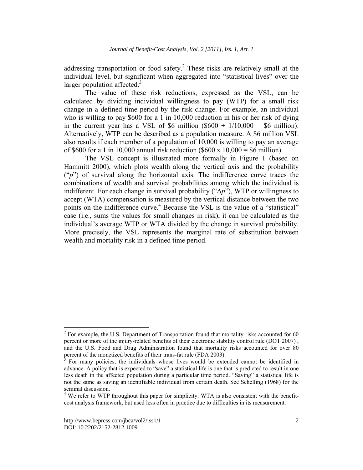addressing transportation or food safety.<sup>2</sup> These risks are relatively small at the individual level, but significant when aggregated into "statistical lives" over the larger population affected.<sup>3</sup>

 The value of these risk reductions, expressed as the VSL, can be calculated by dividing individual willingness to pay (WTP) for a small risk change in a defined time period by the risk change. For example, an individual who is willing to pay \$600 for a 1 in 10,000 reduction in his or her risk of dying in the current year has a VSL of \$6 million (\$600  $\div$  1/10,000 = \$6 million). Alternatively, WTP can be described as a population measure. A \$6 million VSL also results if each member of a population of 10,000 is willing to pay an average of \$600 for a 1 in 10,000 annual risk reduction (\$600 x 10,000 = \$6 million).

 The VSL concept is illustrated more formally in Figure 1 (based on Hammitt 2000), which plots wealth along the vertical axis and the probability ("*p*") of survival along the horizontal axis. The indifference curve traces the combinations of wealth and survival probabilities among which the individual is indifferent. For each change in survival probability ("Δ*p*"), WTP or willingness to accept (WTA) compensation is measured by the vertical distance between the two points on the indifference curve.<sup>4</sup> Because the VSL is the value of a "statistical" case (i.e., sums the values for small changes in risk), it can be calculated as the individual's average WTP or WTA divided by the change in survival probability. More precisely, the VSL represents the marginal rate of substitution between wealth and mortality risk in a defined time period.

1

 $2^{2}$  For example, the U.S. Department of Transportation found that mortality risks accounted for 60 percent or more of the injury-related benefits of their electronic stability control rule (DOT 2007) , and the U.S. Food and Drug Administration found that mortality risks accounted for over 80 percent of the monetized benefits of their trans-fat rule (FDA 2003).

For many policies, the individuals whose lives would be extended cannot be identified in advance. A policy that is expected to "save" a statistical life is one that is predicted to result in one less death in the affected population during a particular time period. "Saving" a statistical life is not the same as saving an identifiable individual from certain death. See Schelling (1968) for the seminal discussion.

<sup>&</sup>lt;sup>4</sup> We refer to WTP throughout this paper for simplicity. WTA is also consistent with the benefitcost analysis framework, but used less often in practice due to difficulties in its measurement.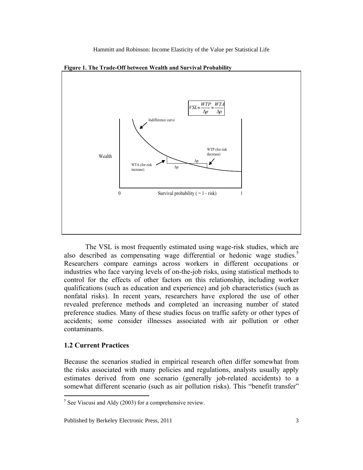

**Figure 1. The Trade-Off between Wealth and Survival Probability** 

 The VSL is most frequently estimated using wage-risk studies, which are also described as compensating wage differential or hedonic wage studies.<sup>5</sup> Researchers compare earnings across workers in different occupations or industries who face varying levels of on-the-job risks, using statistical methods to control for the effects of other factors on this relationship, including worker qualifications (such as education and experience) and job characteristics (such as nonfatal risks). In recent years, researchers have explored the use of other revealed preference methods and completed an increasing number of stated preference studies. Many of these studies focus on traffic safety or other types of accidents; some consider illnesses associated with air pollution or other contaminants.

#### **1.2 Current Practices**

Because the scenarios studied in empirical research often differ somewhat from the risks associated with many policies and regulations, analysts usually apply estimates derived from one scenario (generally job-related accidents) to a somewhat different scenario (such as air pollution risks). This "benefit transfer"

 $\frac{5}{5}$  See Viscusi and Aldy (2003) for a comprehensive review.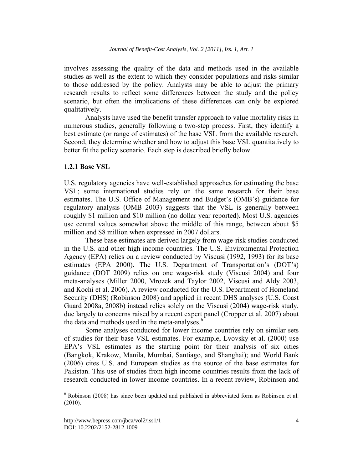involves assessing the quality of the data and methods used in the available studies as well as the extent to which they consider populations and risks similar to those addressed by the policy. Analysts may be able to adjust the primary research results to reflect some differences between the study and the policy scenario, but often the implications of these differences can only be explored qualitatively.

Analysts have used the benefit transfer approach to value mortality risks in numerous studies, generally following a two-step process. First, they identify a best estimate (or range of estimates) of the base VSL from the available research. Second, they determine whether and how to adjust this base VSL quantitatively to better fit the policy scenario. Each step is described briefly below.

### **1.2.1 Base VSL**

U.S. regulatory agencies have well-established approaches for estimating the base VSL; some international studies rely on the same research for their base estimates. The U.S. Office of Management and Budget's (OMB's) guidance for regulatory analysis (OMB 2003) suggests that the VSL is generally between roughly \$1 million and \$10 million (no dollar year reported). Most U.S. agencies use central values somewhat above the middle of this range, between about \$5 million and \$8 million when expressed in 2007 dollars.

These base estimates are derived largely from wage-risk studies conducted in the U.S. and other high income countries. The U.S. Environmental Protection Agency (EPA) relies on a review conducted by Viscusi (1992, 1993) for its base estimates (EPA 2000). The U.S. Department of Transportation's (DOT's) guidance (DOT 2009) relies on one wage-risk study (Viscusi 2004) and four meta-analyses (Miller 2000, Mrozek and Taylor 2002, Viscusi and Aldy 2003, and Kochi et al. 2006). A review conducted for the U.S. Department of Homeland Security (DHS) (Robinson 2008) and applied in recent DHS analyses (U.S. Coast Guard 2008a, 2008b) instead relies solely on the Viscusi (2004) wage-risk study, due largely to concerns raised by a recent expert panel (Cropper et al. 2007) about the data and methods used in the meta-analyses.<sup>6</sup>

Some analyses conducted for lower income countries rely on similar sets of studies for their base VSL estimates. For example, Lvovsky et al. (2000) use EPA's VSL estimates as the starting point for their analysis of six cities (Bangkok, Krakow, Manila, Mumbai, Santiago, and Shanghai); and World Bank (2006) cites U.S. and European studies as the source of the base estimates for Pakistan. This use of studies from high income countries results from the lack of research conducted in lower income countries. In a recent review, Robinson and

 $6$  Robinson (2008) has since been updated and published in abbreviated form as Robinson et al. (2010).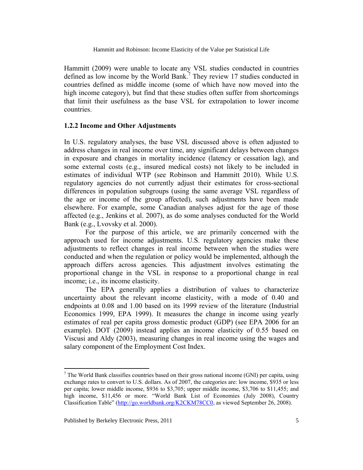Hammitt (2009) were unable to locate any VSL studies conducted in countries defined as low income by the World Bank.<sup>7</sup> They review 17 studies conducted in countries defined as middle income (some of which have now moved into the high income category), but find that these studies often suffer from shortcomings that limit their usefulness as the base VSL for extrapolation to lower income countries.

## **1.2.2 Income and Other Adjustments**

In U.S. regulatory analyses, the base VSL discussed above is often adjusted to address changes in real income over time, any significant delays between changes in exposure and changes in mortality incidence (latency or cessation lag), and some external costs (e.g., insured medical costs) not likely to be included in estimates of individual WTP (see Robinson and Hammitt 2010). While U.S. regulatory agencies do not currently adjust their estimates for cross-sectional differences in population subgroups (using the same average VSL regardless of the age or income of the group affected), such adjustments have been made elsewhere. For example, some Canadian analyses adjust for the age of those affected (e.g., Jenkins et al. 2007), as do some analyses conducted for the World Bank (e.g., Lvovsky et al. 2000).

 For the purpose of this article, we are primarily concerned with the approach used for income adjustments. U.S. regulatory agencies make these adjustments to reflect changes in real income between when the studies were conducted and when the regulation or policy would be implemented, although the approach differs across agencies. This adjustment involves estimating the proportional change in the VSL in response to a proportional change in real income; i.e., its income elasticity.

 The EPA generally applies a distribution of values to characterize uncertainty about the relevant income elasticity, with a mode of 0.40 and endpoints at 0.08 and 1.00 based on its 1999 review of the literature (Industrial Economics 1999, EPA 1999). It measures the change in income using yearly estimates of real per capita gross domestic product (GDP) (see EPA 2006 for an example). DOT (2009) instead applies an income elasticity of 0.55 based on Viscusi and Aldy (2003), measuring changes in real income using the wages and salary component of the Employment Cost Index.

 $<sup>7</sup>$  The World Bank classifies countries based on their gross national income (GNI) per capita, using</sup> exchange rates to convert to U.S. dollars. As of 2007, the categories are: low income, \$935 or less per capita; lower middle income, \$936 to \$3,705; upper middle income, \$3,706 to \$11,455; and high income, \$11,456 or more. "World Bank List of Economies (July 2008), Country Classification Table" (http://go.worldbank.org/K2CKM78CC0, as viewed September 26, 2008).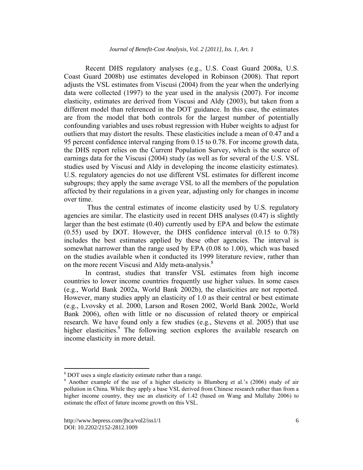Recent DHS regulatory analyses (e.g., U.S. Coast Guard 2008a, U.S. Coast Guard 2008b) use estimates developed in Robinson (2008). That report adjusts the VSL estimates from Viscusi (2004) from the year when the underlying data were collected (1997) to the year used in the analysis (2007). For income elasticity, estimates are derived from Viscusi and Aldy (2003), but taken from a different model than referenced in the DOT guidance. In this case, the estimates are from the model that both controls for the largest number of potentially confounding variables and uses robust regression with Huber weights to adjust for outliers that may distort the results. These elasticities include a mean of 0.47 and a 95 percent confidence interval ranging from 0.15 to 0.78. For income growth data, the DHS report relies on the Current Population Survey, which is the source of earnings data for the Viscusi (2004) study (as well as for several of the U.S. VSL studies used by Viscusi and Aldy in developing the income elasticity estimates). U.S. regulatory agencies do not use different VSL estimates for different income subgroups; they apply the same average VSL to all the members of the population affected by their regulations in a given year, adjusting only for changes in income over time.

 Thus the central estimates of income elasticity used by U.S. regulatory agencies are similar. The elasticity used in recent DHS analyses (0.47) is slightly larger than the best estimate (0.40) currently used by EPA and below the estimate (0.55) used by DOT. However, the DHS confidence interval (0.15 to 0.78) includes the best estimates applied by these other agencies. The interval is somewhat narrower than the range used by EPA (0.08 to 1.00), which was based on the studies available when it conducted its 1999 literature review, rather than on the more recent Viscusi and Aldy meta-analysis.<sup>8</sup>

 In contrast, studies that transfer VSL estimates from high income countries to lower income countries frequently use higher values. In some cases (e.g., World Bank 2002a, World Bank 2002b), the elasticities are not reported. However, many studies apply an elasticity of 1.0 as their central or best estimate (e.g., Lvovsky et al. 2000, Larson and Rosen 2002, World Bank 2002c, World Bank 2006), often with little or no discussion of related theory or empirical research. We have found only a few studies (e.g., Stevens et al. 2005) that use higher elasticities.<sup>9</sup> The following section explores the available research on income elasticity in more detail.

1

 $\frac{8}{9}$  DOT uses a single elasticity estimate rather than a range.

<sup>&</sup>lt;sup>9</sup> Another example of the use of a higher elasticity is Blumberg et al.'s (2006) study of air pollution in China. While they apply a base VSL derived from Chinese research rather than from a higher income country, they use an elasticity of 1.42 (based on Wang and Mullahy 2006) to estimate the effect of future income growth on this VSL.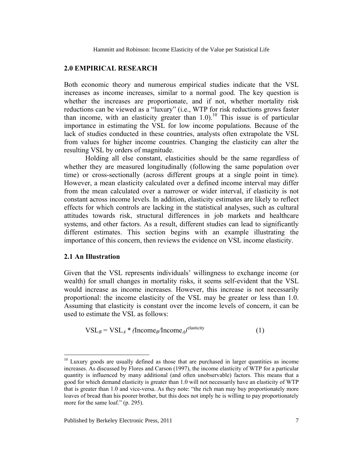## **2.0 EMPIRICAL RESEARCH**

Both economic theory and numerous empirical studies indicate that the VSL increases as income increases, similar to a normal good. The key question is whether the increases are proportionate, and if not, whether mortality risk reductions can be viewed as a "luxury" (i.e., WTP for risk reductions grows faster than income, with an elasticity greater than  $1.0$ .<sup>10</sup> This issue is of particular importance in estimating the VSL for low income populations. Because of the lack of studies conducted in these countries, analysts often extrapolate the VSL from values for higher income countries. Changing the elasticity can alter the resulting VSL by orders of magnitude.

 Holding all else constant, elasticities should be the same regardless of whether they are measured longitudinally (following the same population over time) or cross-sectionally (across different groups at a single point in time). However, a mean elasticity calculated over a defined income interval may differ from the mean calculated over a narrower or wider interval, if elasticity is not constant across income levels. In addition, elasticity estimates are likely to reflect effects for which controls are lacking in the statistical analyses, such as cultural attitudes towards risk, structural differences in job markets and healthcare systems, and other factors. As a result, different studies can lead to significantly different estimates. This section begins with an example illustrating the importance of this concern, then reviews the evidence on VSL income elasticity.

#### **2.1 An Illustration**

 $\overline{a}$ 

Given that the VSL represents individuals' willingness to exchange income (or wealth) for small changes in mortality risks, it seems self-evident that the VSL would increase as income increases. However, this increase is not necessarily proportional: the income elasticity of the VSL may be greater or less than 1.0. Assuming that elasticity is constant over the income levels of concern, it can be used to estimate the VSL as follows:

$$
VSLB = VSLA * (IncomeB/IncomeA)elasticity
$$
 (1)

<sup>&</sup>lt;sup>10</sup> Luxury goods are usually defined as those that are purchased in larger quantities as income increases. As discussed by Flores and Carson (1997), the income elasticity of WTP for a particular quantity is influenced by many additional (and often unobservable) factors. This means that a good for which demand elasticity is greater than 1.0 will not necessarily have an elasticity of WTP that is greater than 1.0 and vice-versa. As they note: "the rich man may buy proportionately more loaves of bread than his poorer brother, but this does not imply he is willing to pay proportionately more for the same loaf." (p. 295).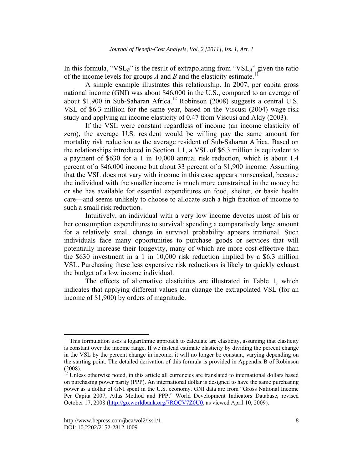In this formula, "VSL*B*" is the result of extrapolating from "VSL*A*" given the ratio of the income levels for groups  $A$  and  $B$  and the elasticity estimate.<sup>1</sup>

 A simple example illustrates this relationship. In 2007, per capita gross national income (GNI) was about \$46,000 in the U.S., compared to an average of about \$1,900 in Sub-Saharan Africa.<sup>12</sup> Robinson (2008) suggests a central U.S. VSL of \$6.3 million for the same year, based on the Viscusi (2004) wage-risk study and applying an income elasticity of 0.47 from Viscusi and Aldy (2003).

 If the VSL were constant regardless of income (an income elasticity of zero), the average U.S. resident would be willing pay the same amount for mortality risk reduction as the average resident of Sub-Saharan Africa. Based on the relationships introduced in Section 1.1, a VSL of \$6.3 million is equivalent to a payment of \$630 for a 1 in 10,000 annual risk reduction, which is about 1.4 percent of a \$46,000 income but about 33 percent of a \$1,900 income. Assuming that the VSL does not vary with income in this case appears nonsensical, because the individual with the smaller income is much more constrained in the money he or she has available for essential expenditures on food, shelter, or basic health care—and seems unlikely to choose to allocate such a high fraction of income to such a small risk reduction.

Intuitively, an individual with a very low income devotes most of his or her consumption expenditures to survival: spending a comparatively large amount for a relatively small change in survival probability appears irrational. Such individuals face many opportunities to purchase goods or services that will potentially increase their longevity, many of which are more cost-effective than the \$630 investment in a 1 in 10,000 risk reduction implied by a \$6.3 million VSL. Purchasing these less expensive risk reductions is likely to quickly exhaust the budget of a low income individual.

The effects of alternative elasticities are illustrated in Table 1, which indicates that applying different values can change the extrapolated VSL (for an income of \$1,900) by orders of magnitude.

 $11$  This formulation uses a logarithmic approach to calculate arc elasticity, assuming that elasticity is constant over the income range. If we instead estimate elasticity by dividing the percent change in the VSL by the percent change in income, it will no longer be constant, varying depending on the starting point. The detailed derivation of this formula is provided in Appendix B of Robinson (2008).

 $12$  Unless otherwise noted, in this article all currencies are translated to international dollars based on purchasing power parity (PPP). An international dollar is designed to have the same purchasing power as a dollar of GNI spent in the U.S. economy. GNI data are from "Gross National Income Per Capita 2007, Atlas Method and PPP," World Development Indicators Database, revised October 17, 2008 (http://go.worldbank.org/7RQCV7Z0U0, as viewed April 10, 2009).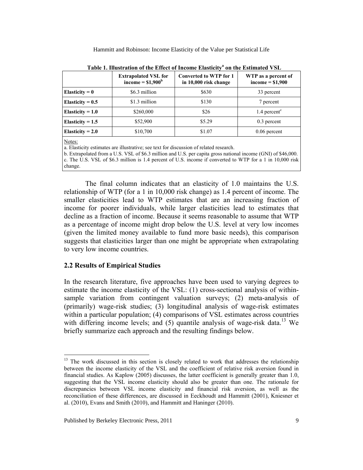|                    | <b>Extrapolated VSL for</b><br>income $=$ \$1,900 <sup>b</sup>                       | <b>Converted to WTP for 1</b><br>in 10,000 risk change | WTP as a percent of<br>income $= $1,900$ |  |  |
|--------------------|--------------------------------------------------------------------------------------|--------------------------------------------------------|------------------------------------------|--|--|
| Elasticity $= 0$   | \$6.3 million                                                                        | \$630                                                  | 33 percent                               |  |  |
| Elasticity = $0.5$ | \$1.3 million                                                                        | \$130                                                  | 7 percent                                |  |  |
| Elasticity = $1.0$ | \$260,000                                                                            | \$26                                                   | $1.4$ percent <sup>c</sup>               |  |  |
| Elasticity = $1.5$ | \$52,900                                                                             | \$5.29                                                 | $0.3$ percent                            |  |  |
| Elasticity = $2.0$ | \$10,700                                                                             | \$1.07                                                 | $0.06$ percent                           |  |  |
| Notes:             | a Elasticity estimates are illustrative; see text for discussion of related research |                                                        |                                          |  |  |

Table 1. Illustration of the Effect of Income Elasticity<sup>a</sup> on the Estimated VSL

s are illustrative; see text for discussion of related research.

b. Extrapolated from a U.S. VSL of \$6.3 million and U.S. per capita gross national income (GNI) of \$46,000. c. The U.S. VSL of \$6.3 million is 1.4 percent of U.S. income if converted to WTP for a 1 in 10,000 risk change.

The final column indicates that an elasticity of 1.0 maintains the U.S. relationship of WTP (for a 1 in 10,000 risk change) as 1.4 percent of income. The smaller elasticities lead to WTP estimates that are an increasing fraction of income for poorer individuals, while larger elasticities lead to estimates that decline as a fraction of income. Because it seems reasonable to assume that WTP as a percentage of income might drop below the U.S. level at very low incomes (given the limited money available to fund more basic needs), this comparison suggests that elasticities larger than one might be appropriate when extrapolating to very low income countries.

## **2.2 Results of Empirical Studies**

 $\overline{a}$ 

In the research literature, five approaches have been used to varying degrees to estimate the income elasticity of the VSL: (1) cross-sectional analysis of withinsample variation from contingent valuation surveys; (2) meta-analysis of (primarily) wage-risk studies; (3) longitudinal analysis of wage-risk estimates within a particular population; (4) comparisons of VSL estimates across countries with differing income levels; and  $(5)$  quantile analysis of wage-risk data.<sup>13</sup> We briefly summarize each approach and the resulting findings below.

 $13$  The work discussed in this section is closely related to work that addresses the relationship between the income elasticity of the VSL and the coefficient of relative risk aversion found in financial studies. As Kaplow (2005) discusses, the latter coefficient is generally greater than 1.0, suggesting that the VSL income elasticity should also be greater than one. The rationale for discrepancies between VSL income elasticity and financial risk aversion, as well as the reconciliation of these differences, are discussed in Eeckhoudt and Hammitt (2001), Kniesner et al. (2010), Evans and Smith (2010), and Hammitt and Haninger (2010).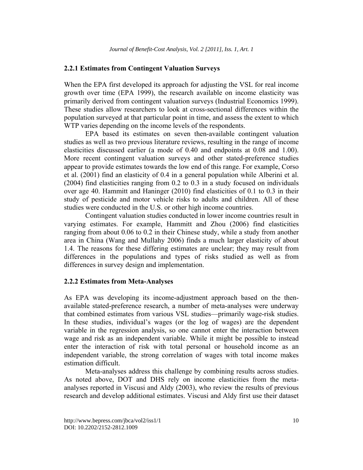#### **2.2.1 Estimates from Contingent Valuation Surveys**

When the EPA first developed its approach for adjusting the VSL for real income growth over time (EPA 1999), the research available on income elasticity was primarily derived from contingent valuation surveys (Industrial Economics 1999). These studies allow researchers to look at cross-sectional differences within the population surveyed at that particular point in time, and assess the extent to which WTP varies depending on the income levels of the respondents.

EPA based its estimates on seven then-available contingent valuation studies as well as two previous literature reviews, resulting in the range of income elasticities discussed earlier (a mode of 0.40 and endpoints at 0.08 and 1.00). More recent contingent valuation surveys and other stated-preference studies appear to provide estimates towards the low end of this range. For example, Corso et al. (2001) find an elasticity of 0.4 in a general population while Alberini et al. (2004) find elasticities ranging from 0.2 to 0.3 in a study focused on individuals over age 40. Hammitt and Haninger (2010) find elasticities of 0.1 to 0.3 in their study of pesticide and motor vehicle risks to adults and children. All of these studies were conducted in the U.S. or other high income countries.

 Contingent valuation studies conducted in lower income countries result in varying estimates. For example, Hammitt and Zhou (2006) find elasticities ranging from about 0.06 to 0.2 in their Chinese study, while a study from another area in China (Wang and Mullahy 2006) finds a much larger elasticity of about 1.4. The reasons for these differing estimates are unclear; they may result from differences in the populations and types of risks studied as well as from differences in survey design and implementation.

#### **2.2.2 Estimates from Meta-Analyses**

As EPA was developing its income-adjustment approach based on the thenavailable stated-preference research, a number of meta-analyses were underway that combined estimates from various VSL studies—primarily wage-risk studies. In these studies, individual's wages (or the log of wages) are the dependent variable in the regression analysis, so one cannot enter the interaction between wage and risk as an independent variable. While it might be possible to instead enter the interaction of risk with total personal or household income as an independent variable, the strong correlation of wages with total income makes estimation difficult.

 Meta-analyses address this challenge by combining results across studies. As noted above, DOT and DHS rely on income elasticities from the metaanalyses reported in Viscusi and Aldy (2003), who review the results of previous research and develop additional estimates. Viscusi and Aldy first use their dataset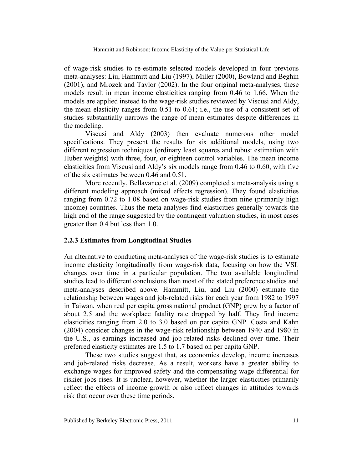of wage-risk studies to re-estimate selected models developed in four previous meta-analyses: Liu, Hammitt and Liu (1997), Miller (2000), Bowland and Beghin (2001), and Mrozek and Taylor (2002). In the four original meta-analyses, these models result in mean income elasticities ranging from 0.46 to 1.66. When the models are applied instead to the wage-risk studies reviewed by Viscusi and Aldy, the mean elasticity ranges from 0.51 to 0.61; i.e., the use of a consistent set of studies substantially narrows the range of mean estimates despite differences in the modeling.

 Viscusi and Aldy (2003) then evaluate numerous other model specifications. They present the results for six additional models, using two different regression techniques (ordinary least squares and robust estimation with Huber weights) with three, four, or eighteen control variables. The mean income elasticities from Viscusi and Aldy's six models range from 0.46 to 0.60, with five of the six estimates between 0.46 and 0.51.

 More recently, Bellavance et al. (2009) completed a meta-analysis using a different modeling approach (mixed effects regression). They found elasticities ranging from 0.72 to 1.08 based on wage-risk studies from nine (primarily high income) countries. Thus the meta-analyses find elasticities generally towards the high end of the range suggested by the contingent valuation studies, in most cases greater than 0.4 but less than 1.0.

### **2.2.3 Estimates from Longitudinal Studies**

An alternative to conducting meta-analyses of the wage-risk studies is to estimate income elasticity longitudinally from wage-risk data, focusing on how the VSL changes over time in a particular population. The two available longitudinal studies lead to different conclusions than most of the stated preference studies and meta-analyses described above. Hammitt, Liu, and Liu (2000) estimate the relationship between wages and job-related risks for each year from 1982 to 1997 in Taiwan, when real per capita gross national product (GNP) grew by a factor of about 2.5 and the workplace fatality rate dropped by half. They find income elasticities ranging from 2.0 to 3.0 based on per capita GNP. Costa and Kahn (2004) consider changes in the wage-risk relationship between 1940 and 1980 in the U.S., as earnings increased and job-related risks declined over time. Their preferred elasticity estimates are 1.5 to 1.7 based on per capita GNP.

 These two studies suggest that, as economies develop, income increases and job-related risks decrease. As a result, workers have a greater ability to exchange wages for improved safety and the compensating wage differential for riskier jobs rises. It is unclear, however, whether the larger elasticities primarily reflect the effects of income growth or also reflect changes in attitudes towards risk that occur over these time periods.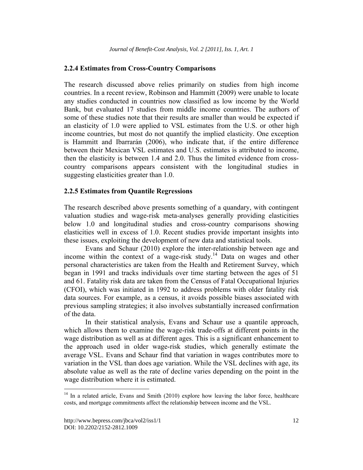## **2.2.4 Estimates from Cross-Country Comparisons**

The research discussed above relies primarily on studies from high income countries. In a recent review, Robinson and Hammitt (2009) were unable to locate any studies conducted in countries now classified as low income by the World Bank, but evaluated 17 studies from middle income countries. The authors of some of these studies note that their results are smaller than would be expected if an elasticity of 1.0 were applied to VSL estimates from the U.S. or other high income countries, but most do not quantify the implied elasticity. One exception is Hammitt and Ibarrarán (2006), who indicate that, if the entire difference between their Mexican VSL estimates and U.S. estimates is attributed to income, then the elasticity is between 1.4 and 2.0. Thus the limited evidence from crosscountry comparisons appears consistent with the longitudinal studies in suggesting elasticities greater than 1.0.

## **2.2.5 Estimates from Quantile Regressions**

The research described above presents something of a quandary, with contingent valuation studies and wage-risk meta-analyses generally providing elasticities below 1.0 and longitudinal studies and cross-country comparisons showing elasticities well in excess of 1.0. Recent studies provide important insights into these issues, exploiting the development of new data and statistical tools.

Evans and Schaur (2010) explore the inter-relationship between age and income within the context of a wage-risk study.<sup>14</sup> Data on wages and other personal characteristics are taken from the Health and Retirement Survey, which began in 1991 and tracks individuals over time starting between the ages of 51 and 61. Fatality risk data are taken from the Census of Fatal Occupational Injuries (CFOI), which was initiated in 1992 to address problems with older fatality risk data sources. For example, as a census, it avoids possible biases associated with previous sampling strategies; it also involves substantially increased confirmation of the data.

In their statistical analysis, Evans and Schaur use a quantile approach, which allows them to examine the wage-risk trade-offs at different points in the wage distribution as well as at different ages. This is a significant enhancement to the approach used in older wage-risk studies, which generally estimate the average VSL. Evans and Schaur find that variation in wages contributes more to variation in the VSL than does age variation. While the VSL declines with age, its absolute value as well as the rate of decline varies depending on the point in the wage distribution where it is estimated.

<sup>&</sup>lt;sup>14</sup> In a related article, Evans and Smith (2010) explore how leaving the labor force, healthcare costs, and mortgage commitments affect the relationship between income and the VSL.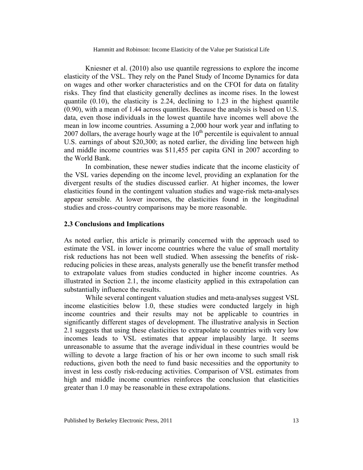Kniesner et al. (2010) also use quantile regressions to explore the income elasticity of the VSL. They rely on the Panel Study of Income Dynamics for data on wages and other worker characteristics and on the CFOI for data on fatality risks. They find that elasticity generally declines as income rises. In the lowest quantile (0.10), the elasticity is 2.24, declining to 1.23 in the highest quantile (0.90), with a mean of 1.44 across quantiles. Because the analysis is based on U.S. data, even those individuals in the lowest quantile have incomes well above the mean in low income countries. Assuming a 2,000 hour work year and inflating to 2007 dollars, the average hourly wage at the 10<sup>th</sup> percentile is equivalent to annual U.S. earnings of about \$20,300; as noted earlier, the dividing line between high and middle income countries was \$11,455 per capita GNI in 2007 according to the World Bank.

In combination, these newer studies indicate that the income elasticity of the VSL varies depending on the income level, providing an explanation for the divergent results of the studies discussed earlier. At higher incomes, the lower elasticities found in the contingent valuation studies and wage-risk meta-analyses appear sensible. At lower incomes, the elasticities found in the longitudinal studies and cross-country comparisons may be more reasonable.

### **2.3 Conclusions and Implications**

As noted earlier, this article is primarily concerned with the approach used to estimate the VSL in lower income countries where the value of small mortality risk reductions has not been well studied. When assessing the benefits of riskreducing policies in these areas, analysts generally use the benefit transfer method to extrapolate values from studies conducted in higher income countries. As illustrated in Section 2.1, the income elasticity applied in this extrapolation can substantially influence the results.

While several contingent valuation studies and meta-analyses suggest VSL income elasticities below 1.0, these studies were conducted largely in high income countries and their results may not be applicable to countries in significantly different stages of development. The illustrative analysis in Section 2.1 suggests that using these elasticities to extrapolate to countries with very low incomes leads to VSL estimates that appear implausibly large. It seems unreasonable to assume that the average individual in these countries would be willing to devote a large fraction of his or her own income to such small risk reductions, given both the need to fund basic necessities and the opportunity to invest in less costly risk-reducing activities. Comparison of VSL estimates from high and middle income countries reinforces the conclusion that elasticities greater than 1.0 may be reasonable in these extrapolations.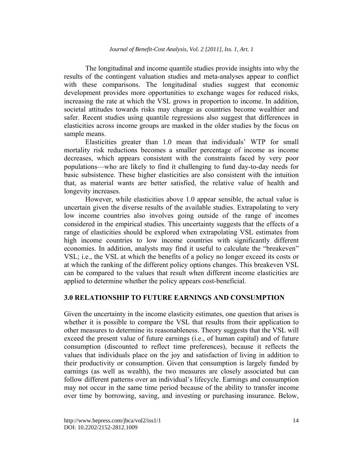The longitudinal and income quantile studies provide insights into why the results of the contingent valuation studies and meta-analyses appear to conflict with these comparisons. The longitudinal studies suggest that economic development provides more opportunities to exchange wages for reduced risks, increasing the rate at which the VSL grows in proportion to income. In addition, societal attitudes towards risks may change as countries become wealthier and safer. Recent studies using quantile regressions also suggest that differences in elasticities across income groups are masked in the older studies by the focus on sample means.

Elasticities greater than 1.0 mean that individuals' WTP for small mortality risk reductions becomes a smaller percentage of income as income decreases, which appears consistent with the constraints faced by very poor populations—who are likely to find it challenging to fund day-to-day needs for basic subsistence. These higher elasticities are also consistent with the intuition that, as material wants are better satisfied, the relative value of health and longevity increases.

 However, while elasticities above 1.0 appear sensible, the actual value is uncertain given the diverse results of the available studies. Extrapolating to very low income countries also involves going outside of the range of incomes considered in the empirical studies. This uncertainty suggests that the effects of a range of elasticities should be explored when extrapolating VSL estimates from high income countries to low income countries with significantly different economies. In addition, analysts may find it useful to calculate the "breakeven" VSL; i.e., the VSL at which the benefits of a policy no longer exceed its costs or at which the ranking of the different policy options changes. This breakeven VSL can be compared to the values that result when different income elasticities are applied to determine whether the policy appears cost-beneficial.

## **3.0 RELATIONSHIP TO FUTURE EARNINGS AND CONSUMPTION**

Given the uncertainty in the income elasticity estimates, one question that arises is whether it is possible to compare the VSL that results from their application to other measures to determine its reasonableness. Theory suggests that the VSL will exceed the present value of future earnings (i.e., of human capital) and of future consumption (discounted to reflect time preferences), because it reflects the values that individuals place on the joy and satisfaction of living in addition to their productivity or consumption. Given that consumption is largely funded by earnings (as well as wealth), the two measures are closely associated but can follow different patterns over an individual's lifecycle. Earnings and consumption may not occur in the same time period because of the ability to transfer income over time by borrowing, saving, and investing or purchasing insurance. Below,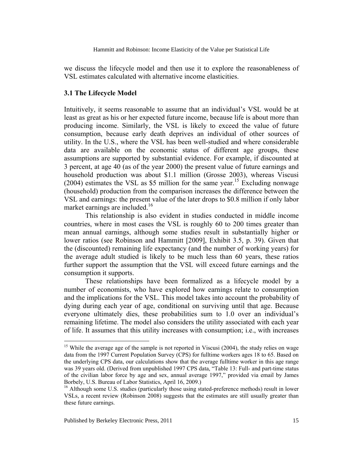we discuss the lifecycle model and then use it to explore the reasonableness of VSL estimates calculated with alternative income elasticities.

### **3.1 The Lifecycle Model**

Intuitively, it seems reasonable to assume that an individual's VSL would be at least as great as his or her expected future income, because life is about more than producing income. Similarly, the VSL is likely to exceed the value of future consumption, because early death deprives an individual of other sources of utility. In the U.S., where the VSL has been well-studied and where considerable data are available on the economic status of different age groups, these assumptions are supported by substantial evidence. For example, if discounted at 3 percent, at age 40 (as of the year 2000) the present value of future earnings and household production was about \$1.1 million (Grosse 2003), whereas Viscusi (2004) estimates the VSL as \$5 million for the same year.<sup>15</sup> Excluding nonwage (household) production from the comparison increases the difference between the VSL and earnings: the present value of the later drops to \$0.8 million if only labor market earnings are included.<sup>16</sup>

This relationship is also evident in studies conducted in middle income countries, where in most cases the VSL is roughly 60 to 200 times greater than mean annual earnings, although some studies result in substantially higher or lower ratios (see Robinson and Hammitt [2009], Exhibit 3.5, p. 39). Given that the (discounted) remaining life expectancy (and the number of working years) for the average adult studied is likely to be much less than 60 years, these ratios further support the assumption that the VSL will exceed future earnings and the consumption it supports.

 These relationships have been formalized as a lifecycle model by a number of economists, who have explored how earnings relate to consumption and the implications for the VSL. This model takes into account the probability of dying during each year of age, conditional on surviving until that age. Because everyone ultimately dies, these probabilities sum to 1.0 over an individual's remaining lifetime. The model also considers the utility associated with each year of life. It assumes that this utility increases with consumption; i.e., with increases

<sup>&</sup>lt;sup>15</sup> While the average age of the sample is not reported in Viscusi (2004), the study relies on wage data from the 1997 Current Population Survey (CPS) for fulltime workers ages 18 to 65. Based on the underlying CPS data, our calculations show that the average fulltime worker in this age range was 39 years old. (Derived from unpublished 1997 CPS data, "Table 13: Full- and part-time status of the civilian labor force by age and sex, annual average 1997," provided via email by James Borbely, U.S. Bureau of Labor Statistics, April 16, 2009.)

<sup>&</sup>lt;sup>16</sup> Although some U.S. studies (particularly those using stated-preference methods) result in lower VSLs, a recent review (Robinson 2008) suggests that the estimates are still usually greater than these future earnings.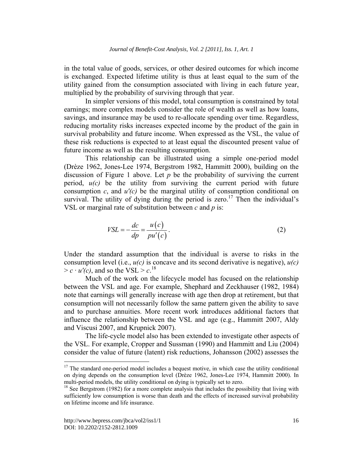in the total value of goods, services, or other desired outcomes for which income is exchanged. Expected lifetime utility is thus at least equal to the sum of the utility gained from the consumption associated with living in each future year, multiplied by the probability of surviving through that year.

In simpler versions of this model, total consumption is constrained by total earnings; more complex models consider the role of wealth as well as how loans, savings, and insurance may be used to re-allocate spending over time. Regardless, reducing mortality risks increases expected income by the product of the gain in survival probability and future income. When expressed as the VSL, the value of these risk reductions is expected to at least equal the discounted present value of future income as well as the resulting consumption.

This relationship can be illustrated using a simple one-period model (Drèze 1962, Jones-Lee 1974, Bergstrom 1982, Hammitt 2000), building on the discussion of Figure 1 above. Let  $p$  be the probability of surviving the current period,  $u(c)$  be the utility from surviving the current period with future consumption *c*, and *u'(c)* be the marginal utility of consumption conditional on survival. The utility of dying during the period is zero.<sup>17</sup> Then the individual's VSL or marginal rate of substitution between *c* and *p* is:

$$
VSL = -\frac{dc}{dp} = \frac{u(c)}{pu'(c)}.
$$
 (2)

Under the standard assumption that the individual is averse to risks in the consumption level (i.e., *u(c)* is concave and its second derivative is negative), *u(c)*  $> c \cdot u'(c)$ , and so the VSL  $> c$ .<sup>18</sup>

Much of the work on the lifecycle model has focused on the relationship between the VSL and age. For example, Shephard and Zeckhauser (1982, 1984) note that earnings will generally increase with age then drop at retirement, but that consumption will not necessarily follow the same pattern given the ability to save and to purchase annuities. More recent work introduces additional factors that influence the relationship between the VSL and age (e.g., Hammitt 2007, Aldy and Viscusi 2007, and Krupnick 2007).

The life-cycle model also has been extended to investigate other aspects of the VSL. For example, Cropper and Sussman (1990) and Hammitt and Liu (2004) consider the value of future (latent) risk reductions, Johansson (2002) assesses the

1

 $17$  The standard one-period model includes a bequest motive, in which case the utility conditional on dying depends on the consumption level (Drèze 1962, Jones-Lee 1974, Hammitt 2000). In multi-period models, the utility conditional on dying is typically set to zero.

<sup>&</sup>lt;sup>18</sup> See Bergstrom (1982) for a more complete analysis that includes the possibility that living with sufficiently low consumption is worse than death and the effects of increased survival probability on lifetime income and life insurance.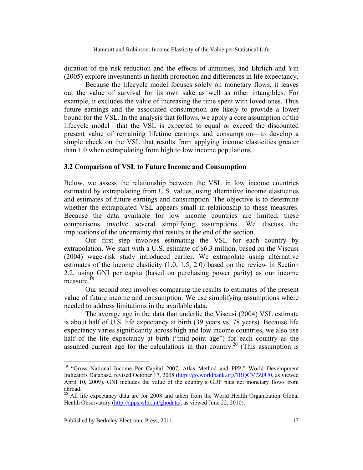duration of the risk reduction and the effects of annuities, and Ehrlich and Yin (2005) explore investments in health protection and differences in life expectancy.

Because the lifecycle model focuses solely on monetary flows, it leaves out the value of survival for its own sake as well as other intangibles. For example, it excludes the value of increasing the time spent with loved ones. Thus future earnings and the associated consumption are likely to provide a lower bound for the VSL. In the analysis that follows, we apply a core assumption of the lifecycle model—that the VSL is expected to equal or exceed the discounted present value of remaining lifetime earnings and consumption—to develop a simple check on the VSL that results from applying income elasticities greater than 1.0 when extrapolating from high to low income populations.

### **3.2 Comparison of VSL to Future Income and Consumption**

Below, we assess the relationship between the VSL in low income countries estimated by extrapolating from U.S. values, using alternative income elasticities and estimates of future earnings and consumption. The objective is to determine whether the extrapolated VSL appears small in relationship to these measures. Because the data available for low income countries are limited, these comparisons involve several simplifying assumptions. We discuss the implications of the uncertainty that results at the end of the section.

 Our first step involves estimating the VSL for each country by extrapolation. We start with a U.S. estimate of \$6.3 million, based on the Viscusi (2004) wage-risk study introduced earlier. We extrapolate using alternative estimates of the income elasticity (1.0, 1.5, 2.0) based on the review in Section 2.2, using GNI per capita (based on purchasing power parity) as our income measure. $^{19}$ 

Our second step involves comparing the results to estimates of the present value of future income and consumption. We use simplifying assumptions where needed to address limitations in the available data.

The average age in the data that underlie the Viscusi (2004) VSL estimate is about half of U.S. life expectancy at birth (39 years vs. 78 years). Because life expectancy varies significantly across high and low income countries, we also use half of the life expectancy at birth ("mid-point age") for each country as the assumed current age for the calculations in that country.<sup>20</sup> (This assumption is

<sup>&</sup>lt;sup>19</sup> "Gross National Income Per Capital 2007, Atlas Method and PPP," World Development Indicators Database, revised October 17, 2008 (http://go.worldbank.org/7RQCV7Z0U0, as viewed April 10, 2009). GNI includes the value of the country's GDP plus net monetary flows from abroad.

 $20$  All life expectancy data are for 2008 and taken from the World Health Organization Global Health Observatory (http://apps.who.int/ghodata/, as viewed June 22, 2010).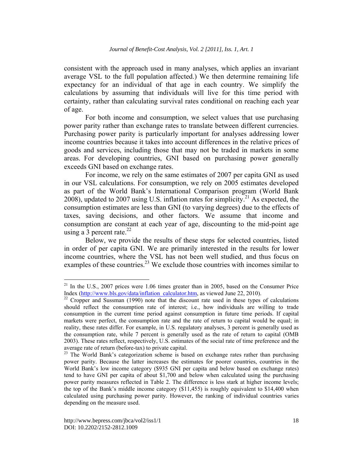consistent with the approach used in many analyses, which applies an invariant average VSL to the full population affected.) We then determine remaining life expectancy for an individual of that age in each country. We simplify the calculations by assuming that individuals will live for this time period with certainty, rather than calculating survival rates conditional on reaching each year of age.

For both income and consumption, we select values that use purchasing power parity rather than exchange rates to translate between different currencies. Purchasing power parity is particularly important for analyses addressing lower income countries because it takes into account differences in the relative prices of goods and services, including those that may not be traded in markets in some areas. For developing countries, GNI based on purchasing power generally exceeds GNI based on exchange rates.

For income, we rely on the same estimates of 2007 per capita GNI as used in our VSL calculations. For consumption, we rely on 2005 estimates developed as part of the World Bank's International Comparison program (World Bank 2008), updated to 2007 using U.S. inflation rates for simplicity.<sup>21</sup> As expected, the consumption estimates are less than GNI (to varying degrees) due to the effects of taxes, saving decisions, and other factors. We assume that income and consumption are constant at each year of age, discounting to the mid-point age using a 3 percent rate.<sup>22</sup>

Below, we provide the results of these steps for selected countries, listed in order of per capita GNI. We are primarily interested in the results for lower income countries, where the VSL has not been well studied, and thus focus on examples of these countries.<sup>23</sup> We exclude those countries with incomes similar to

<sup>&</sup>lt;sup>21</sup> In the U.S., 2007 prices were 1.06 times greater than in 2005, based on the Consumer Price Index  $(\frac{http://www.bls.gov/data/inflation~calculator.htm}{http://www.bls.gov/data/inflation~calculator.htm}$ , as viewed June 22, 2010).

<sup>&</sup>lt;sup>22</sup> Cropper and Sussman (1990) note that the discount rate used in these types of calculations should reflect the consumption rate of interest; i.e., how individuals are willing to trade consumption in the current time period against consumption in future time periods. If capital markets were perfect, the consumption rate and the rate of return to capital would be equal; in reality, these rates differ. For example, in U.S. regulatory analyses, 3 percent is generally used as the consumption rate, while 7 percent is generally used as the rate of return to capital (OMB 2003). These rates reflect, respectively, U.S. estimates of the social rate of time preference and the average rate of return (before-tax) to private capital.<br><sup>23</sup> The World Bank's categorization scheme is based on exchange rates rather than purchasing

power parity. Because the latter increases the estimates for poorer countries, countries in the World Bank's low income category (\$935 GNI per capita and below based on exchange rates) tend to have GNI per capita of about \$1,700 and below when calculated using the purchasing power parity measures reflected in Table 2. The difference is less stark at higher income levels; the top of the Bank's middle income category (\$11,455) is roughly equivalent to \$14,400 when calculated using purchasing power parity. However, the ranking of individual countries varies depending on the measure used.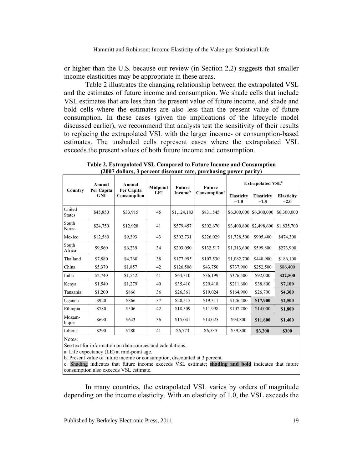or higher than the U.S. because our review (in Section 2.2) suggests that smaller income elasticities may be appropriate in these areas.

Table 2 illustrates the changing relationship between the extrapolated VSL and the estimates of future income and consumption. We shade cells that include VSL estimates that are less than the present value of future income, and shade and bold cells where the estimates are also less than the present value of future consumption. In these cases (given the implications of the lifecycle model discussed earlier), we recommend that analysts test the sensitivity of their results to replacing the extrapolated VSL with the larger income- or consumption-based estimates. The unshaded cells represent cases where the extrapolated VSL exceeds the present values of both future income and consumption.

| Country                 | Annual<br>Per Capita<br><b>GNI</b> | Annual<br>Per Capita<br>Consumption | Midpoint<br>LE <sup>a</sup> | <b>Future</b><br><b>Income</b> <sup>b</sup> | <b>Future</b><br>Consumption <sup>b</sup> | <b>Extrapolated VSL<sup>c</sup></b> |                             |                              |
|-------------------------|------------------------------------|-------------------------------------|-----------------------------|---------------------------------------------|-------------------------------------------|-------------------------------------|-----------------------------|------------------------------|
|                         |                                    |                                     |                             |                                             |                                           | <b>Elasticity</b><br>$=1.0$         | <b>Elasticity</b><br>$=1.5$ | <b>Elasticity</b><br>$= 2.0$ |
| United<br><b>States</b> | \$45,850                           | \$33,915                            | 45                          | \$1,124,183                                 | \$831,545                                 | \$6,300,000                         | \$6,300,000                 | \$6,300,000                  |
| South<br>Korea          | \$24,750                           | \$12,928                            | 41                          | \$579,457                                   | \$302,670                                 | \$3,400,800                         | \$2,498,600                 | \$1,835,700                  |
| Mexico                  | \$12,580                           | \$9,393                             | 43                          | \$302,731                                   | \$226,029                                 | \$1,728,500                         | \$905.400                   | \$474,300                    |
| South<br>Africa         | \$9,560                            | \$6,239                             | 34                          | \$203,050                                   | \$132,517                                 | \$1,313,600                         | \$599.800                   | \$273.900                    |
| Thailand                | \$7,880                            | \$4,760                             | 38                          | \$177,995                                   | \$107,530                                 | \$1,082,700                         | \$448,900                   | \$186,100                    |
| China                   | \$5,370                            | \$1,857                             | 42                          | \$126,506                                   | \$43,750                                  | \$737,900                           | \$252,500                   | \$86,400                     |
| India                   | \$2,740                            | \$1,542                             | 41                          | \$64,310                                    | \$36.199                                  | \$376.500                           | \$92,000                    | \$22,500                     |
| Kenya                   | \$1,540                            | \$1,279                             | 40                          | \$35,410                                    | \$29,418                                  | \$211,600                           | \$38,800                    | \$7,100                      |
| Tanzania                | \$1,200                            | \$866                               | 36                          | \$26,361                                    | \$19,024                                  | \$164,900                           | \$26,700                    | \$4,300                      |
| Uganda                  | \$920                              | \$866                               | 37                          | \$20,515                                    | \$19,311                                  | \$126,400                           | \$17,900                    | \$2,500                      |
| Ethiopia                | \$780                              | \$506                               | 42                          | \$18,509                                    | \$11,998                                  | \$107,200                           | \$14,000                    | \$1,800                      |
| Mozam-<br>bique         | \$690                              | \$643                               | 36                          | \$15,041                                    | \$14,025                                  | \$94,800                            | \$11,600                    | \$1,400                      |
| Liberia                 | \$290                              | \$280                               | 41                          | \$6,773                                     | \$6,535                                   | \$39,800                            | \$3,200                     | \$300                        |

**Table 2. Extrapolated VSL Compared to Future Income and Consumption (2007 dollars, 3 percent discount rate, purchasing power parity)** 

Notes:

See text for information on data sources and calculations.

a. Life expectancy (LE) at mid-point age.

b. Present value of future income or consumption, discounted at 3 percent.

c. Shading indicates that future income exceeds VSL estimate; **shading and bold** indicates that future consumption also exceeds VSL estimate.

In many countries, the extrapolated VSL varies by orders of magnitude depending on the income elasticity. With an elasticity of 1.0, the VSL exceeds the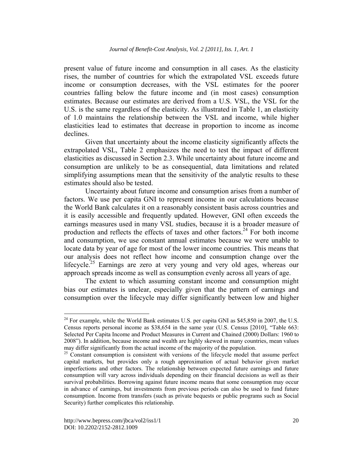present value of future income and consumption in all cases. As the elasticity rises, the number of countries for which the extrapolated VSL exceeds future income or consumption decreases, with the VSL estimates for the poorer countries falling below the future income and (in most cases) consumption estimates. Because our estimates are derived from a U.S. VSL, the VSL for the U.S. is the same regardless of the elasticity. As illustrated in Table 1, an elasticity of 1.0 maintains the relationship between the VSL and income, while higher elasticities lead to estimates that decrease in proportion to income as income declines.

Given that uncertainty about the income elasticity significantly affects the extrapolated VSL, Table 2 emphasizes the need to test the impact of different elasticities as discussed in Section 2.3. While uncertainty about future income and consumption are unlikely to be as consequential, data limitations and related simplifying assumptions mean that the sensitivity of the analytic results to these estimates should also be tested.

Uncertainty about future income and consumption arises from a number of factors. We use per capita GNI to represent income in our calculations because the World Bank calculates it on a reasonably consistent basis across countries and it is easily accessible and frequently updated. However, GNI often exceeds the earnings measures used in many VSL studies, because it is a broader measure of production and reflects the effects of taxes and other factors.<sup>24</sup> For both income and consumption, we use constant annual estimates because we were unable to locate data by year of age for most of the lower income countries. This means that our analysis does not reflect how income and consumption change over the lifecycle.<sup>25</sup> Earnings are zero at very young and very old ages, whereas our approach spreads income as well as consumption evenly across all years of age.

The extent to which assuming constant income and consumption might bias our estimates is unclear, especially given that the pattern of earnings and consumption over the lifecycle may differ significantly between low and higher

<sup>&</sup>lt;sup>24</sup> For example, while the World Bank estimates U.S. per capita GNI as \$45,850 in 2007, the U.S. Census reports personal income as \$38,654 in the same year (U.S. Census [2010], "Table 663: Selected Per Capita Income and Product Measures in Current and Chained (2000) Dollars: 1960 to 2008"). In addition, because income and wealth are highly skewed in many countries, mean values may differ significantly from the actual income of the majority of the population.

 $25$  Constant consumption is consistent with versions of the lifecycle model that assume perfect capital markets, but provides only a rough approximation of actual behavior given market imperfections and other factors. The relationship between expected future earnings and future consumption will vary across individuals depending on their financial decisions as well as their survival probabilities. Borrowing against future income means that some consumption may occur in advance of earnings, but investments from previous periods can also be used to fund future consumption. Income from transfers (such as private bequests or public programs such as Social Security) further complicates this relationship.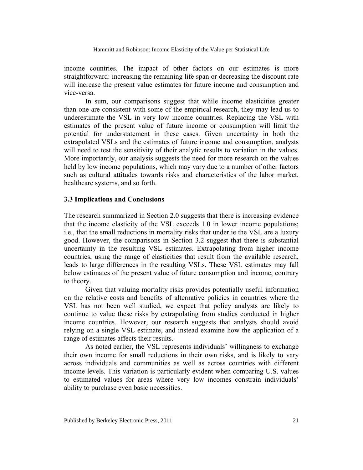income countries. The impact of other factors on our estimates is more straightforward: increasing the remaining life span or decreasing the discount rate will increase the present value estimates for future income and consumption and vice-versa.

In sum, our comparisons suggest that while income elasticities greater than one are consistent with some of the empirical research, they may lead us to underestimate the VSL in very low income countries. Replacing the VSL with estimates of the present value of future income or consumption will limit the potential for understatement in these cases. Given uncertainty in both the extrapolated VSLs and the estimates of future income and consumption, analysts will need to test the sensitivity of their analytic results to variation in the values. More importantly, our analysis suggests the need for more research on the values held by low income populations, which may vary due to a number of other factors such as cultural attitudes towards risks and characteristics of the labor market, healthcare systems, and so forth.

#### **3.3 Implications and Conclusions**

The research summarized in Section 2.0 suggests that there is increasing evidence that the income elasticity of the VSL exceeds 1.0 in lower income populations; i.e., that the small reductions in mortality risks that underlie the VSL are a luxury good. However, the comparisons in Section 3.2 suggest that there is substantial uncertainty in the resulting VSL estimates. Extrapolating from higher income countries, using the range of elasticities that result from the available research, leads to large differences in the resulting VSLs. These VSL estimates may fall below estimates of the present value of future consumption and income, contrary to theory.

 Given that valuing mortality risks provides potentially useful information on the relative costs and benefits of alternative policies in countries where the VSL has not been well studied, we expect that policy analysts are likely to continue to value these risks by extrapolating from studies conducted in higher income countries. However, our research suggests that analysts should avoid relying on a single VSL estimate, and instead examine how the application of a range of estimates affects their results.

As noted earlier, the VSL represents individuals' willingness to exchange their own income for small reductions in their own risks, and is likely to vary across individuals and communities as well as across countries with different income levels. This variation is particularly evident when comparing U.S. values to estimated values for areas where very low incomes constrain individuals' ability to purchase even basic necessities.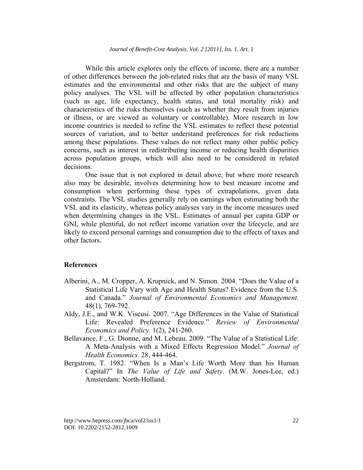While this article explores only the effects of income, there are a number of other differences between the job-related risks that are the basis of many VSL estimates and the environmental and other risks that are the subject of many policy analyses. The VSL will be affected by other population characteristics (such as age, life expectancy, health status, and total mortality risk) and characteristics of the risks themselves (such as whether they result from injuries or illness, or are viewed as voluntary or controllable). More research in low income countries is needed to refine the VSL estimates to reflect these potential sources of variation, and to better understand preferences for risk reductions among these populations. These values do not reflect many other public policy concerns, such as interest in redistributing income or reducing health disparities across population groups, which will also need to be considered in related decisions.

 One issue that is not explored in detail above, but where more research also may be desirable, involves determining how to best measure income and consumption when performing these types of extrapolations, given data constraints. The VSL studies generally rely on earnings when estimating both the VSL and its elasticity, whereas policy analyses vary in the income measures used when determining changes in the VSL. Estimates of annual per capita GDP or GNI, while plentiful, do not reflect income variation over the lifecycle, and are likely to exceed personal earnings and consumption due to the effects of taxes and other factors.

## **References**

- Alberini, A., M. Cropper, A. Krupnick, and N. Simon. 2004. "Does the Value of a Statistical Life Vary with Age and Health Status? Evidence from the U.S. and Canada." *Journal of Environmental Economics and Management*. 48(1), 769-792.
- Aldy, J.E., and W.K. Viscusi. 2007. "Age Differences in the Value of Statistical Life: Revealed Preference Evidence." *Review of Environmental Economics and Policy.* 1(2), 241-260.
- Bellavance, F., G. Dionne, and M. Lebeau. 2009. "The Value of a Statistical Life: A Meta-Analysis with a Mixed Effects Regression Model." *Journal of Health Economics.* 28, 444-464.
- Bergstrom, T. 1982. "When Is a Man's Life Worth More than his Human Capital?" In *The Value of Life and Safety*. (M.W. Jones-Lee, ed.) Amsterdam: North-Holland.

http://www.bepress.com/jbca/vol2/iss1/1 DOI: 10.2202/2152-2812.1009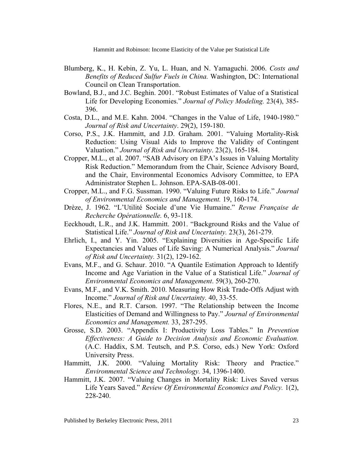- Blumberg, K., H. Kebin, Z. Yu, L. Huan, and N. Yamaguchi. 2006. *Costs and Benefits of Reduced Sulfur Fuels in China.* Washington, DC: International Council on Clean Transportation.
- Bowland, B.J., and J.C. Beghin. 2001. "Robust Estimates of Value of a Statistical Life for Developing Economies." *Journal of Policy Modeling.* 23(4), 385- 396.
- Costa, D.L., and M.E. Kahn. 2004. "Changes in the Value of Life, 1940-1980." *Journal of Risk and Uncertainty*. 29(2), 159-180.
- Corso, P.S., J.K. Hammitt, and J.D. Graham. 2001. "Valuing Mortality-Risk Reduction: Using Visual Aids to Improve the Validity of Contingent Valuation." *Journal of Risk and Uncertainty*. 23(2), 165-184.
- Cropper, M.L., et al. 2007. "SAB Advisory on EPA's Issues in Valuing Mortality Risk Reduction." Memorandum from the Chair, Science Advisory Board, and the Chair, Environmental Economics Advisory Committee, to EPA Administrator Stephen L. Johnson. EPA-SAB-08-001.
- Cropper, M.L., and F.G. Sussman. 1990. "Valuing Future Risks to Life." *Journal of Environmental Economics and Management.* 19, 160-174.
- Drèze, J. 1962. "L'Utilité Sociale d'une Vie Humaine." *Revue Française de Recherche Opérationnelle.* 6, 93-118.
- Eeckhoudt, L.R., and J.K. Hammitt. 2001. "Background Risks and the Value of Statistical Life." *Journal of Risk and Uncertainty.* 23(3), 261-279.
- Ehrlich, I., and Y. Yin. 2005. "Explaining Diversities in Age-Specific Life Expectancies and Values of Life Saving: A Numerical Analysis." *Journal of Risk and Uncertainty.* 31(2), 129-162.
- Evans, M.F., and G. Schaur. 2010. "A Quantile Estimation Approach to Identify Income and Age Variation in the Value of a Statistical Life." *Journal of Environmental Economics and Management*. 59(3), 260-270.
- Evans, M.F., and V.K. Smith. 2010. Measuring How Risk Trade-Offs Adjust with Income." *Journal of Risk and Uncertainty.* 40, 33-55.
- Flores, N.E., and R.T. Carson. 1997. "The Relationship between the Income Elasticities of Demand and Willingness to Pay." *Journal of Environmental Economics and Management.* 33, 287-295.
- Grosse, S.D. 2003. "Appendix I: Productivity Loss Tables." In *Prevention Effectiveness: A Guide to Decision Analysis and Economic Evaluation.* (A.C. Haddix, S.M. Teutsch, and P.S. Corso, eds.) New York: Oxford University Press.
- Hammitt, J.K. 2000. "Valuing Mortality Risk: Theory and Practice." *Environmental Science and Technology.* 34, 1396-1400.
- Hammitt, J.K. 2007. "Valuing Changes in Mortality Risk: Lives Saved versus Life Years Saved." *Review Of Environmental Economics and Policy.* 1(2), 228-240.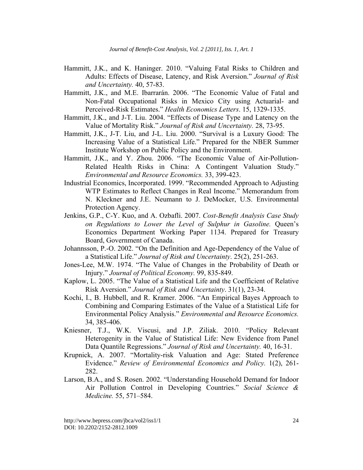- Hammitt, J.K., and K. Haninger. 2010. "Valuing Fatal Risks to Children and Adults: Effects of Disease, Latency, and Risk Aversion." *Journal of Risk and Uncertainty.* 40, 57-83.
- Hammitt, J.K., and M.E. Ibarrarán. 2006. "The Economic Value of Fatal and Non-Fatal Occupational Risks in Mexico City using Actuarial- and Perceived-Risk Estimates." *Health Economics Letters*. 15, 1329-1335.
- Hammitt, J.K., and J-T. Liu. 2004. "Effects of Disease Type and Latency on the Value of Mortality Risk." *Journal of Risk and Uncertainty.* 28, 73-95.
- Hammitt, J.K., J-T. Liu, and J-L. Liu. 2000. "Survival is a Luxury Good: The Increasing Value of a Statistical Life." Prepared for the NBER Summer Institute Workshop on Public Policy and the Environment.
- Hammitt, J.K., and Y. Zhou. 2006. "The Economic Value of Air-Pollution-Related Health Risks in China: A Contingent Valuation Study." *Environmental and Resource Economics.* 33, 399-423.
- Industrial Economics, Incorporated. 1999. "Recommended Approach to Adjusting WTP Estimates to Reflect Changes in Real Income." Memorandum from N. Kleckner and J.E. Neumann to J. DeMocker, U.S. Environmental Protection Agency.
- Jenkins, G.P., C-Y. Kuo, and A. Ozbafli. 2007. *Cost-Benefit Analysis Case Study on Regulations to Lower the Level of Sulphur in Gasoline.* Queen's Economics Department Working Paper 1134. Prepared for Treasury Board, Government of Canada.
- Johannsson, P.-O. 2002. "On the Definition and Age-Dependency of the Value of a Statistical Life." *Journal of Risk and Uncertainty*. 25(2), 251-263.
- Jones-Lee, M.W. 1974. "The Value of Changes in the Probability of Death or Injury." *Journal of Political Economy.* 99, 835-849.
- Kaplow, L. 2005. "The Value of a Statistical Life and the Coefficient of Relative Risk Aversion." *Journal of Risk and Uncertainty*. 31(1), 23-34.
- Kochi, I., B. Hubbell, and R. Kramer. 2006. "An Empirical Bayes Approach to Combining and Comparing Estimates of the Value of a Statistical Life for Environmental Policy Analysis." *Environmental and Resource Economics.*  34, 385-406.
- Kniesner, T.J., W.K. Viscusi, and J.P. Ziliak. 2010. "Policy Relevant Heterogenity in the Value of Statistical Life: New Evidence from Panel Data Quantile Regressions." *Journal of Risk and Uncertainty.* 40, 16-31.
- Krupnick, A. 2007. "Mortality-risk Valuation and Age: Stated Preference Evidence." *Review of Environmental Economics and Policy.* 1(2), 261- 282.
- Larson, B.A., and S. Rosen. 2002. "Understanding Household Demand for Indoor Air Pollution Control in Developing Countries." *Social Science & Medicine.* 55, 571–584.

http://www.bepress.com/jbca/vol2/iss1/1 DOI: 10.2202/2152-2812.1009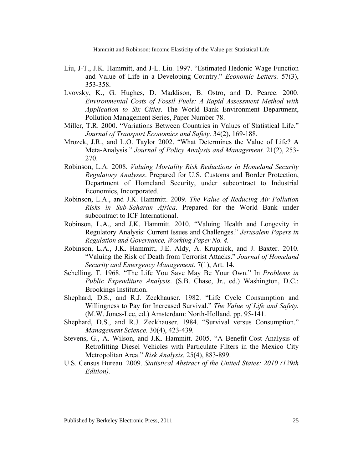- Liu, J-T., J.K. Hammitt, and J-L. Liu. 1997. "Estimated Hedonic Wage Function and Value of Life in a Developing Country." *Economic Letters.* 57(3), 353-358.
- Lvovsky, K., G. Hughes, D. Maddison, B. Ostro, and D. Pearce. 2000. *Environmental Costs of Fossil Fuels: A Rapid Assessment Method with Application to Six Cities.* The World Bank Environment Department, Pollution Management Series, Paper Number 78.
- Miller, T.R. 2000. "Variations Between Countries in Values of Statistical Life." *Journal of Transport Economics and Safety.* 34(2), 169-188.
- Mrozek, J.R., and L.O. Taylor 2002. "What Determines the Value of Life? A Meta-Analysis." *Journal of Policy Analysis and Management.* 21(2), 253- 270.
- Robinson, L.A. 2008. *Valuing Mortality Risk Reductions in Homeland Security Regulatory Analyses*. Prepared for U.S. Customs and Border Protection, Department of Homeland Security, under subcontract to Industrial Economics, Incorporated.
- Robinson, L.A., and J.K. Hammitt. 2009. *The Value of Reducing Air Pollution Risks in Sub-Saharan Africa*. Prepared for the World Bank under subcontract to ICF International.
- Robinson, L.A., and J.K. Hammitt. 2010. "Valuing Health and Longevity in Regulatory Analysis: Current Issues and Challenges." *Jerusalem Papers in Regulation and Governance, Working Paper No. 4.*
- Robinson, L.A., J.K. Hammitt, J.E. Aldy, A. Krupnick, and J. Baxter. 2010. "Valuing the Risk of Death from Terrorist Attacks." *Journal of Homeland Security and Emergency Management.* 7(1), Art. 14.
- Schelling, T. 1968. "The Life You Save May Be Your Own." In *Problems in Public Expenditure Analysis*. (S.B. Chase, Jr., ed.) Washington, D.C.: Brookings Institution.
- Shephard, D.S., and R.J. Zeckhauser. 1982. "Life Cycle Consumption and Willingness to Pay for Increased Survival." *The Value of Life and Safety.* (M.W. Jones-Lee, ed.) Amsterdam: North-Holland. pp. 95-141.
- Shephard, D.S., and R.J. Zeckhauser. 1984. "Survival versus Consumption." *Management Science.* 30(4), 423-439*.*
- Stevens, G., A. Wilson, and J.K. Hammitt. 2005. "A Benefit-Cost Analysis of Retrofitting Diesel Vehicles with Particulate Filters in the Mexico City Metropolitan Area." *Risk Analysis.* 25(4), 883-899.
- U.S. Census Bureau. 2009. *Statistical Abstract of the United States: 2010 (129th Edition).*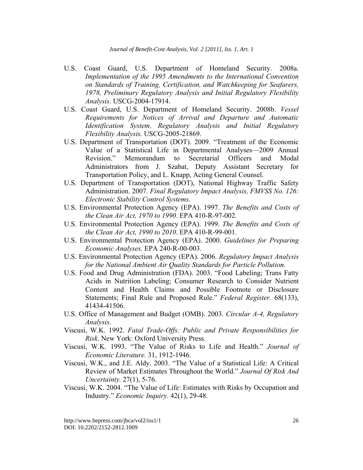- U.S. Coast Guard, U.S. Department of Homeland Security. 2008a. *Implementation of the 1995 Amendments to the International Convention on Standards of Training, Certification, and Watchkeeping for Seafarers, 1978, Preliminary Regulatory Analysis and Initial Regulatory Flexibility Analysis*. USCG-2004-17914.
- U.S. Coast Guard, U.S. Department of Homeland Security. 2008b. *Vessel Requirements for Notices of Arrival and Departure and Automatic Identification System, Regulatory Analysis and Initial Regulatory Flexibility Analysis.* USCG-2005-21869.
- U.S. Department of Transportation (DOT). 2009. "Treatment of the Economic Value of a Statistical Life in Departmental Analyses—2009 Annual Revision." Memorandum to Secretarial Officers and Modal Administrators from J. Szabat, Deputy Assistant Secretary for Transportation Policy, and L. Knapp, Acting General Counsel.
- U.S. Department of Transportation (DOT), National Highway Traffic Safety Administration. 2007. *Final Regulatory Impact Analysis, FMVSS No. 126: Electronic Stability Control Systems.*
- U.S. Environmental Protection Agency (EPA). 1997. *The Benefits and Costs of the Clean Air Act, 1970 to 1990*. EPA 410-R-97-002.
- U.S. Environmental Protection Agency (EPA). 1999. *The Benefits and Costs of the Clean Air Act, 1990 to 2010*. EPA 410-R-99-001.
- U.S. Environmental Protection Agency (EPA). 2000. *Guidelines for Preparing Economic Analyses.* EPA 240-R-00-003.
- U.S. Environmental Protection Agency (EPA). 2006. *Regulatory Impact Analysis for the National Ambient Air Quality Standards for Particle Pollution.*
- U.S. Food and Drug Administration (FDA). 2003. "Food Labeling; Trans Fatty Acids in Nutrition Labeling; Consumer Research to Consider Nutrient Content and Health Claims and Possible Footnote or Disclosure Statements; Final Rule and Proposed Rule." *Federal Register.* 68(133), 41434-41506.
- U.S. Office of Management and Budget (OMB). 2003. *Circular A-4, Regulatory Analysis*.
- Viscusi, W.K. 1992. *Fatal Trade-Offs: Public and Private Responsibilities for Risk*. New York: Oxford University Press.
- Viscusi, W.K. 1993. "The Value of Risks to Life and Health." *Journal of Economic Literature.* 31, 1912-1946.
- Viscusi, W.K., and J.E. Aldy. 2003. "The Value of a Statistical Life: A Critical Review of Market Estimates Throughout the World." *Journal Of Risk And Uncertainty.* 27(1), 5-76.
- Viscusi, W.K. 2004. "The Value of Life: Estimates with Risks by Occupation and Industry." *Economic Inquiry*. 42(1), 29-48.

http://www.bepress.com/jbca/vol2/iss1/1 DOI: 10.2202/2152-2812.1009